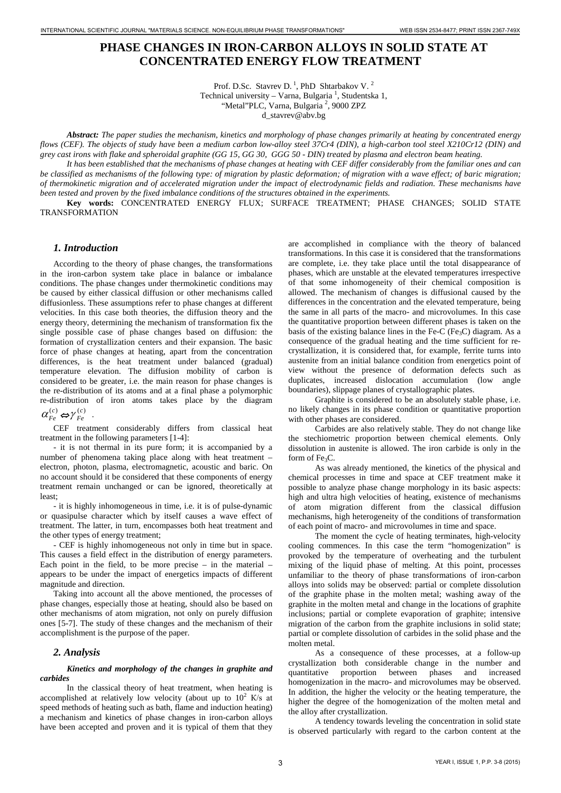# **PHASE CHANGES IN IRON-CARBON ALLOYS IN SOLID STATE AT CONCENTRATED ENERGY FLOW TREATMENT**

Prof. D.Sc. Stavrev D.<sup>1</sup>, PhD Shtarbakov V.<sup>2</sup>

Technical university - Varna, Bulgaria<sup>1</sup>, Studentska 1,

"Metal"PLC, Varna, Bulgaria<sup>2</sup>, 9000 ZPZ

d\_stavrev@abv.bg

*Abstract: The paper studies the mechanism, kinetics and morphology of phase changes primarily at heating by concentrated energy flows (CEF). The objects of study have been a medium carbon low-alloy steel 37Cr4 (DIN), a high-carbon tool steel X210Cr12 (DIN) and grey cast irons with flake and spheroidal graphite (GG 15, GG 30, GGG 50 - DIN) treated by plasma and electron beam heating.* 

*It has been established that the mechanisms of phase changes at heating with CEF differ considerably from the familiar ones and can be classified as mechanisms of the following type: of migration by plastic deformation; of migration with a wave effect; of baric migration; of thermokinetic migration and of accelerated migration under the impact of electrodynamic fields and radiation. These mechanisms have been tested and proven by the fixed imbalance conditions of the structures obtained in the experiments.* 

**Key words:** CONCENTRATED ENERGY FLUX; SURFACE TREATMENT; PHASE CHANGES; SOLID STATE TRANSFORMATION

# *1. Introduction*

According to the theory of phase changes, the transformations in the iron-carbon system take place in balance or imbalance conditions. The phase changes under thermokinetic conditions may be caused by either classical diffusion or other mechanisms called diffusionless. These assumptions refer to phase changes at different velocities. In this case both theories, the diffusion theory and the energy theory, determining the mechanism of transformation fix the single possible case of phase changes based on diffusion: the formation of crystallization centers and their expansion. The basic force of phase changes at heating, apart from the concentration differences, is the heat treatment under balanced (gradual) temperature elevation. The diffusion mobility of carbon is considered to be greater, i.e. the main reason for phase changes is the re-distribution of its atoms and at a final phase a polymorphic re-distribution of iron atoms takes place by the diagram

 $\alpha_{Fe}^{(c)} \Leftrightarrow \gamma_{Fe}^{(c)}$ .

CEF treatment considerably differs from classical heat treatment in the following parameters [1-4]:

- it is not thermal in its pure form; it is accompanied by a number of phenomena taking place along with heat treatment – electron, photon, plasma, electromagnetic, acoustic and baric. On no account should it be considered that these components of energy treatment remain unchanged or can be ignored, theoretically at least;

- it is highly inhomogeneous in time, i.e. it is of pulse-dynamic or quasipulse character which by itself causes a wave effect of treatment. The latter, in turn, encompasses both heat treatment and the other types of energy treatment;

- CEF is highly inhomogeneous not only in time but in space. This causes a field effect in the distribution of energy parameters. Each point in the field, to be more precise  $-$  in the material  $$ appears to be under the impact of energetics impacts of different magnitude and direction.

Taking into account all the above mentioned, the processes of phase changes, especially those at heating, should also be based on other mechanisms of atom migration, not only on purely diffusion ones [5-7]. The study of these changes and the mechanism of their accomplishment is the purpose of the paper.

# *2. Analysis*

## *Kinetics and morphology of the changes in graphite and carbides*

In the classical theory of heat treatment, when heating is accomplished at relatively low velocity (about up to  $10^2$  K/s at speed methods of heating such as bath, flame and induction heating) a mechanism and kinetics of phase changes in iron-carbon alloys have been accepted and proven and it is typical of them that they are accomplished in compliance with the theory of balanced transformations. In this case it is considered that the transformations are complete, i.e. they take place until the total disappearance of phases, which are unstable at the elevated temperatures irrespective of that some inhomogeneity of their chemical composition is allowed. The mechanism of changes is diffusional caused by the differences in the concentration and the elevated temperature, being the same in all parts of the macro- and microvolumes. In this case the quantitative proportion between different phases is taken on the basis of the existing balance lines in the Fe-C (Fe<sub>3</sub>C) diagram. As a consequence of the gradual heating and the time sufficient for recrystallization, it is considered that, for example, ferrite turns into austenite from an initial balance condition from energetics point of view without the presence of deformation defects such as duplicates, increased dislocation accumulation (low angle boundaries), slippage planes of crystallographic plates.

Graphite is considered to be an absolutely stable phase, i.e. no likely changes in its phase condition or quantitative proportion with other phases are considered.

Carbides are also relatively stable. They do not change like the stechiometric proportion between chemical elements. Only dissolution in austenite is allowed. The iron carbide is only in the form of  $Fe<sub>2</sub>C$ .

As was already mentioned, the kinetics of the physical and chemical processes in time and space at CEF treatment make it possible to analyze phase change morphology in its basic aspects: high and ultra high velocities of heating, existence of mechanisms of atom migration different from the classical diffusion mechanisms, high heterogeneity of the conditions of transformation of each point of macro- and microvolumes in time and space.

The moment the cycle of heating terminates, high-velocity cooling commences. In this case the term "homogenization" is provoked by the temperature of overheating and the turbulent mixing of the liquid phase of melting. At this point, processes unfamiliar to the theory of phase transformations of iron-carbon alloys into solids may be observed: partial or complete dissolution of the graphite phase in the molten metal; washing away of the graphite in the molten metal and change in the locations of graphite inclusions; partial or complete evaporation of graphite; intensive migration of the carbon from the graphite inclusions in solid state; partial or complete dissolution of carbides in the solid phase and the molten metal.

As a consequence of these processes, at a follow-up crystallization both considerable change in the number and quantitative proportion between phases and increased homogenization in the macro- and microvolumes may be observed. In addition, the higher the velocity or the heating temperature, the higher the degree of the homogenization of the molten metal and the alloy after crystallization.

A tendency towards leveling the concentration in solid state is observed particularly with regard to the carbon content at the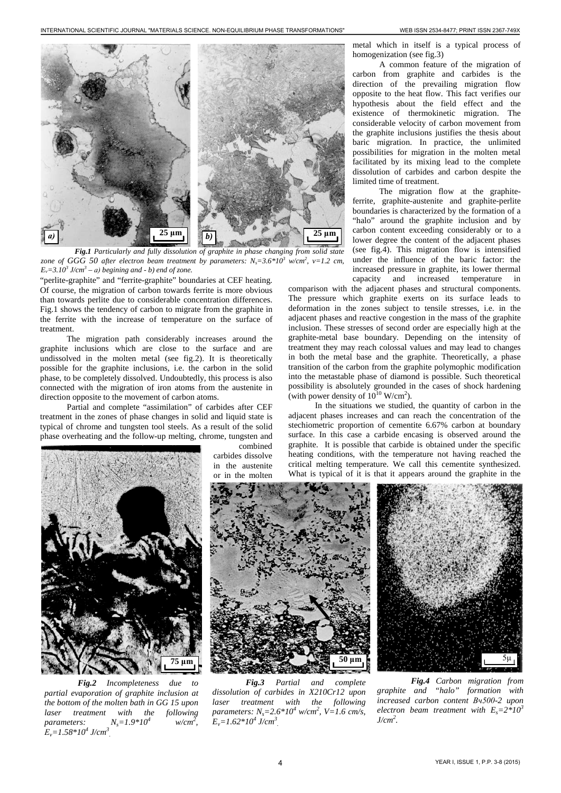

*Fig.1 Particularly and fully dissolution of graphite in phase changing from solid state zone of GGG 50 after electron beam treatment by parameters: Ns=3.6\*103 w/cm2 , v=1.2 cm,*   $E_y = 3.10^3$  *J/cm*<sup>3</sup> – *a*) *begining and - b) end of zone.* 

"perlite-graphite" and "ferrite-graphite" boundaries at CEF heating. Of course, the migration of carbon towards ferrite is more obvious than towards perlite due to considerable concentration differences. Fig.1 shows the tendency of carbon to migrate from the graphite in the ferrite with the increase of temperature on the surface of treatment.

The migration path considerably increases around the graphite inclusions which are close to the surface and are undissolved in the molten metal (see fig.2). It is theoretically possible for the graphite inclusions, i.e. the carbon in the solid phase, to be completely dissolved. Undoubtedly, this process is also connected with the migration of iron atoms from the austenite in direction opposite to the movement of carbon atoms.

Partial and complete "assimilation" of carbides after CEF treatment in the zones of phase changes in solid and liquid state is typical of chrome and tungsten tool steels. As a result of the solid phase overheating and the follow-up melting, chrome, tungsten and



*Fig.2 Incompleteness due to partial evaporation of graphite inclusion at the bottom of the molten bath in GG 15 upon laser treatment with the following parameters:*  $N_s = 1.9 * 10^4$  $w/cm^2$ ,  $E_v = 1.58 * 10^4$  *J/cm<sup>3</sup>*.

combined carbides dissolve in the austenite or in the molten

metal which in itself is a typical process of homogenization (see fig.3)

A common feature of the migration of carbon from graphite and carbides is the direction of the prevailing migration flow opposite to the heat flow. This fact verifies our hypothesis about the field effect and the existence of thermokinetic migration. The considerable velocity of carbon movement from the graphite inclusions justifies the thesis about baric migration. In practice, the unlimited possibilities for migration in the molten metal facilitated by its mixing lead to the complete dissolution of carbides and carbon despite the limited time of treatment.

The migration flow at the graphiteferrite, graphite-austenite and graphite-perlite boundaries is characterized by the formation of a "halo" around the graphite inclusion and by carbon content exceeding considerably or to a lower degree the content of the adjacent phases (see fig.4). This migration flow is intensified under the influence of the baric factor: the increased pressure in graphite, its lower thermal capacity and increased temperature in

comparison with the adjacent phases and structural components. The pressure which graphite exerts on its surface leads to deformation in the zones subject to tensile stresses, i.e. in the adjacent phases and reactive congestion in the mass of the graphite inclusion. These stresses of second order are especially high at the graphite-metal base boundary. Depending on the intensity of treatment they may reach colossal values and may lead to changes in both the metal base and the graphite. Theoretically, a phase transition of the carbon from the graphite polymophic modification into the metastable phase of diamond is possible. Such theoretical possibility is absolutely grounded in the cases of shock hardening (with power density of  $10^{10}$  W/cm<sup>2</sup>).

In the situations we studied, the quantity of carbon in the adjacent phases increases and can reach the concentration of the stechiometric proportion of cementite 6.67% carbon at boundary surface. In this case a carbide encasing is observed around the graphite. It is possible that carbide is obtained under the specific heating conditions, with the temperature not having reached the critical melting temperature. We call this cementite synthesized. What is typical of it is that it appears around the graphite in the



*Fig.3 Partial and complete dissolution of carbides in X210Cr12 upon laser treatment with the following parameters: Ns=2.6\*10<sup>4</sup> w/cm2 , V=1.6 cm/s,*   $E_v = 1.62 * 10^4$  *J/cm<sup>3</sup>* 



*Fig.4 Carbon migration from graphite and "halo" formation with increased carbon content Вч500-2 upon electron beam treatment with*  $E_s = 2*10^3$ *J/cm2 .*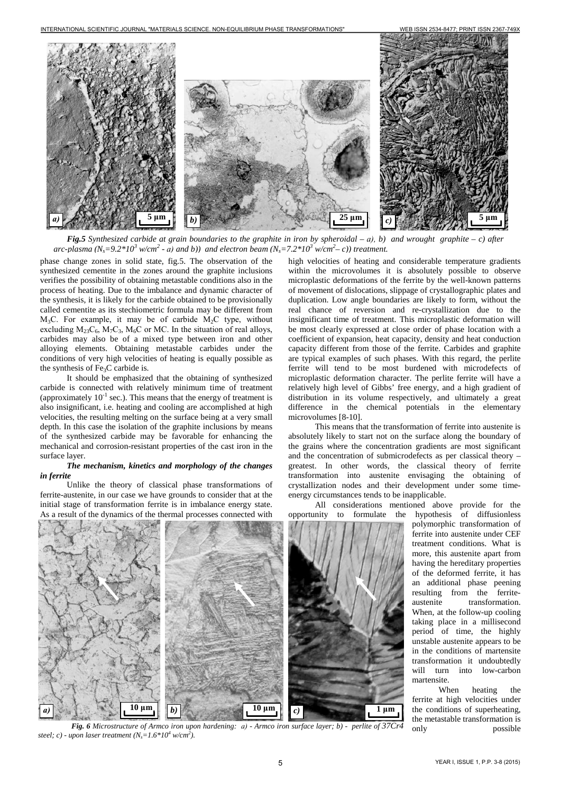INTERNATIONAL SCIENTIFIC JOURNAL "MATERIALS SCIENCE. NON-EQUILIBRIUM PHASE TRANSFORMATIONS" WEB ISSN 2534-8477; PRINT ISSN 2367-749X



*Fig.5 Synthesized carbide at grain boundaries to the graphite in iron by spheroidal – а), b) and wrought graphite – c) after arc-plasma (Ns=9.2\*10<sup>3</sup> w/cm2 - а) and b)) and electron beam (Ns=7.2\*10<sup>3</sup> w/cm2 – c)) treatment.*

phase change zones in solid state, fig.5. The observation of the synthesized cementite in the zones around the graphite inclusions verifies the possibility of obtaining metastable conditions also in the process of heating. Due to the imbalance and dynamic character of the synthesis, it is likely for the carbide obtained to be provisionally called cementite as its stechiometric formula may be different from  $M_3C$ . For example, it may be of carbide  $M_2C$  type, without excluding  $M_{23}C_6$ ,  $M_7C_3$ ,  $M_6C$  or MC. In the situation of real alloys, carbides may also be of a mixed type between iron and other alloying elements. Obtaining metastable carbides under the conditions of very high velocities of heating is equally possible as the synthesis of Fe<sub>3</sub>C carbide is.

It should be emphasized that the obtaining of synthesized carbide is connected with relatively minimum time of treatment (approximately  $10^{-1}$  sec.). This means that the energy of treatment is also insignificant, i.e. heating and cooling are accomplished at high velocities, the resulting melting on the surface being at a very small depth. In this case the isolation of the graphite inclusions by means of the synthesized carbide may be favorable for enhancing the mechanical and corrosion-resistant properties of the cast iron in the surface layer.

## *The mechanism, kinetics and morphology of the changes in ferrite*

Unlike the theory of classical phase transformations of ferrite-austenite, in our case we have grounds to consider that at the initial stage of transformation ferrite is in imbalance energy state. As a result of the dynamics of the thermal processes connected with

high velocities of heating and considerable temperature gradients within the microvolumes it is absolutely possible to observe microplastic deformations of the ferrite by the well-known patterns of movement of dislocations, slippage of crystallographic plates and duplication. Low angle boundaries are likely to form, without the real chance of reversion and re-crystallization due to the insignificant time of treatment. This microplastic deformation will be most clearly expressed at close order of phase location with a coefficient of expansion, heat capacity, density and heat conduction capacity different from those of the ferrite. Carbides and graphite are typical examples of such phases. With this regard, the perlite ferrite will tend to be most burdened with microdefects of microplastic deformation character. The perlite ferrite will have a relatively high level of Gibbs' free energy, and a high gradient of distribution in its volume respectively, and ultimately a great difference in the chemical potentials in the elementary microvolumes [8-10].

This means that the transformation of ferrite into austenite is absolutely likely to start not on the surface along the boundary of the grains where the concentration gradients are most significant and the concentration of submicrodefects as per classical theory – greatest. In other words, the classical theory of ferrite transformation into austenite envisaging the obtaining of crystallization nodes and their development under some timeenergy circumstances tends to be inapplicable.



*Fig. 6 Microstructure of Armco iron upon hardening: а) - Armco iron surface layer; b) - perlite of 37Cr4 steel; c) - upon laser treatment (Ns=1.6\*10<sup>4</sup> w/cm2 ).*

All considerations mentioned above provide for the opportunity to formulate the hypothesis of diffusionless polymorphic transformation of ferrite into austenite under CEF treatment conditions. What is more, this austenite apart from having the hereditary properties of the deformed ferrite, it has an additional phase peening resulting from the ferriteaustenite transformation. When, at the follow-up cooling taking place in a millisecond period of time, the highly unstable austenite appears to be in the conditions of martensite transformation it undoubtedly will turn into low-carbon martensite.

> When heating the ferrite at high velocities under the conditions of superheating, the metastable transformation is only possible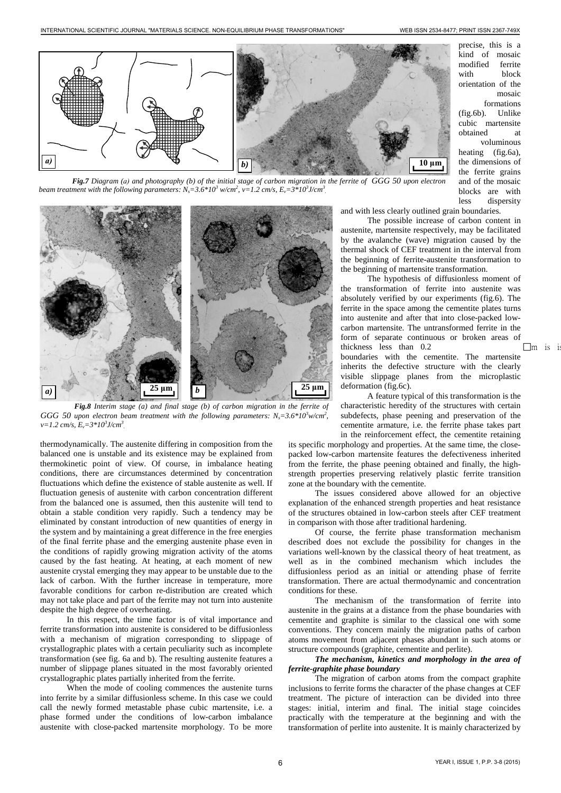precise, this is a kind of mosaic modified ferrite with block orientation of the

mosaic formations (fig.6b). Unlike cubic martensite obtained at voluminous heating (fig.6a), the dimensions of the ferrite grains and of the mosaic blocks are with



*Fig.7 Diagram (а) and photography (b) of the initial stage of carbon migration in the ferrite of GGG 50 upon electron beam treatment with the following parameters:*  $N_s$ =3.6\*10<sup>3</sup> w/cm<sup>2</sup>, v=1.2 cm/s,  $E_v$ =3\*10<sup>3</sup>J/cm<sup>3</sup>.



*Fig.8 Interim stage (a) and final stage (b) of carbon migration in the ferrite of GGG 50 upon electron beam treatment with the following parameters:*  $N_s = 3.6 * 10^3$  w/cm<sup>2</sup>, *v=1.2 cm/s, Ev=3\*10<sup>3</sup> J/cm3 .*

thermodynamically. The austenite differing in composition from the balanced one is unstable and its existence may be explained from thermokinetic point of view. Of course, in imbalance heating conditions, there are circumstances determined by concentration fluctuations which define the existence of stable austenite as well. If fluctuation genesis of austenite with carbon concentration different from the balanced one is assumed, then this austenite will tend to obtain a stable condition very rapidly. Such a tendency may be eliminated by constant introduction of new quantities of energy in the system and by maintaining a great difference in the free energies of the final ferrite phase and the emerging austenite phase even in the conditions of rapidly growing migration activity of the atoms caused by the fast heating. At heating, at each moment of new austenite crystal emerging they may appear to be unstable due to the lack of carbon. With the further increase in temperature, more favorable conditions for carbon re-distribution are created which may not take place and part of the ferrite may not turn into austenite despite the high degree of overheating.

In this respect, the time factor is of vital importance and ferrite transformation into austenite is considered to be diffusionless with a mechanism of migration corresponding to slippage of crystallographic plates with a certain peculiarity such as incomplete transformation (see fig. 6a and b). The resulting austenite features a number of slippage planes situated in the most favorably oriented crystallographic plates partially inherited from the ferrite.

When the mode of cooling commences the austenite turns into ferrite by a similar diffusionless scheme. In this case we could call the newly formed metastable phase cubic martensite, i.e. a phase formed under the conditions of low-carbon imbalance austenite with close-packed martensite morphology. To be more

less dispersity and with less clearly outlined grain boundaries.

The possible increase of carbon content in austenite, martensite respectively, may be facilitated by the avalanche (wave) migration caused by the thermal shock of CEF treatment in the interval from the beginning of ferrite-austenite transformation to the beginning of martensite transformation.

The hypothesis of diffusionless moment of the transformation of ferrite into austenite was absolutely verified by our experiments (fig.6). The ferrite in the space among the cementite plates turns into austenite and after that into close-packed lowcarbon martensite. The untransformed ferrite in the form of separate continuous or broken areas of thickness less than  $0.2$   $\Box$ m is i boundaries with the cementite. The martensite inherits the defective structure with the clearly visible slippage planes from the microplastic deformation (fig.6c).

A feature typical of this transformation is the characteristic heredity of the structures with certain subdefects, phase peening and preservation of the cementite armature, i.e. the ferrite phase takes part in the reinforcement effect, the cementite retaining

its specific morphology and properties. At the same time, the closepacked low-carbon martensite features the defectiveness inherited from the ferrite, the phase peening obtained and finally, the highstrength properties preserving relatively plastic ferrite transition zone at the boundary with the cementite.

The issues considered above allowed for an objective explanation of the enhanced strength properties and heat resistance of the structures obtained in low-carbon steels after CEF treatment in comparison with those after traditional hardening.

Of course, the ferrite phase transformation mechanism described does not exclude the possibility for changes in the variations well-known by the classical theory of heat treatment, as well as in the combined mechanism which includes the diffusionless period as an initial or attending phase of ferrite transformation. There are actual thermodynamic and concentration conditions for these.

The mechanism of the transformation of ferrite into austenite in the grains at a distance from the phase boundaries with cementite and graphite is similar to the classical one with some conventions. They concern mainly the migration paths of carbon atoms movement from adjacent phases abundant in such atoms or structure compounds (graphite, cementite and perlite).

#### *The mechanism, kinetics and morphology in the area of ferrite-graphite phase boundary*

The migration of carbon atoms from the compact graphite inclusions to ferrite forms the character of the phase changes at CEF treatment. The picture of interaction can be divided into three stages: initial, interim and final. The initial stage coincides practically with the temperature at the beginning and with the transformation of perlite into austenite. It is mainly characterized by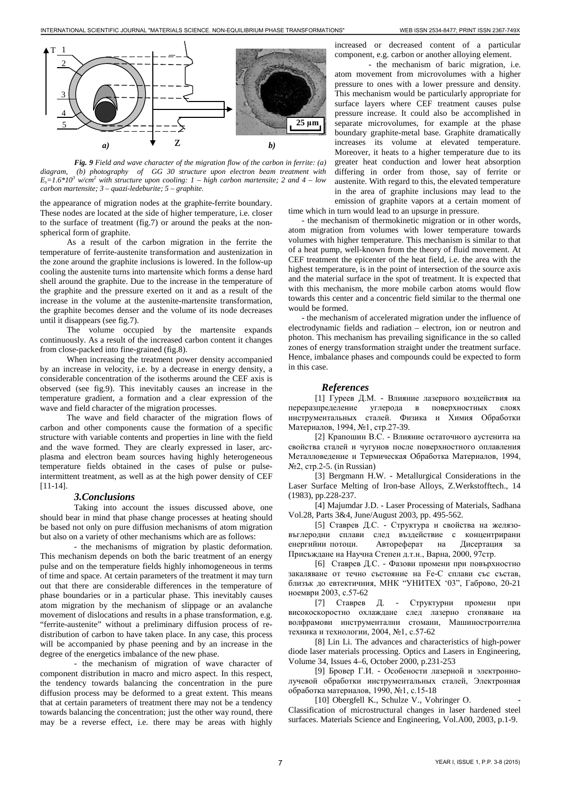

*Fig. 9 Field and wave character of the migration flow of the carbon in ferrite: (a) diagram, (b) photography of GG 30 structure upon electron beam treatment with*   $E_s = 1.6*10^3$  *w/cm<sup>2</sup>* with structure upon cooling: 1 – high carbon martensite; 2 and 4 – low *carbon martensite; 3 – quazi-ledeburite; 5 – graphite.*

the appearance of migration nodes at the graphite-ferrite boundary. These nodes are located at the side of higher temperature, i.e. closer to the surface of treatment (fig.7) or around the peaks at the nonspherical form of graphite.

As a result of the carbon migration in the ferrite the temperature of ferrite-austenite transformation and austenization in the zone around the graphite inclusions is lowered. In the follow-up cooling the austenite turns into martensite which forms a dense hard shell around the graphite. Due to the increase in the temperature of the graphite and the pressure exerted on it and as a result of the increase in the volume at the austenite-martensite transformation, the graphite becomes denser and the volume of its node decreases until it disappears (see fig.7).

The volume occupied by the martensite expands continuously. As a result of the increased carbon content it changes from close-packed into fine-grained (fig.8).

When increasing the treatment power density accompanied by an increase in velocity, i.e. by a decrease in energy density, a considerable concentration of the isotherms around the CEF axis is observed (see fig.9). This inevitably causes an increase in the temperature gradient, a formation and a clear expression of the wave and field character of the migration processes.

The wave and field character of the migration flows of carbon and other components cause the formation of a specific structure with variable contents and properties in line with the field and the wave formed. They are clearly expressed in laser, arcplasma and electron beam sources having highly heterogeneous temperature fields obtained in the cases of pulse or pulseintermittent treatment, as well as at the high power density of CEF [11-14].

#### *3.Conclusions*

Taking into account the issues discussed above, one should bear in mind that phase change processes at heating should be based not only on pure diffusion mechanisms of atom migration but also on a variety of other mechanisms which are as follows:

- the mechanisms of migration by plastic deformation. This mechanism depends on both the baric treatment of an energy pulse and on the temperature fields highly inhomogeneous in terms of time and space. At certain parameters of the treatment it may turn out that there are considerable differences in the temperature of phase boundaries or in a particular phase. This inevitably causes atom migration by the mechanism of slippage or an avalanche movement of dislocations and results in a phase transformation, e.g. "ferrite-austenite" without a preliminary diffusion process of redistribution of carbon to have taken place. In any case, this process will be accompanied by phase peening and by an increase in the degree of the energetics imbalance of the new phase.

- the mechanism of migration of wave character of component distribution in macro and micro aspect. In this respect, the tendency towards balancing the concentration in the pure diffusion process may be deformed to a great extent. This means that at certain parameters of treatment there may not be a tendency towards balancing the concentration; just the other way round, there may be a reverse effect, i.e. there may be areas with highly

increased or decreased content of a particular component, e.g. carbon or another alloying element.

- the mechanism of baric migration, i.e. atom movement from microvolumes with a higher pressure to ones with a lower pressure and density. This mechanism would be particularly appropriate for surface layers where CEF treatment causes pulse pressure increase. It could also be accomplished in separate microvolumes, for example at the phase boundary graphite-metal base. Graphite dramatically increases its volume at elevated temperature. Moreover, it heats to a higher temperature due to its greater heat conduction and lower heat absorption differing in order from those, say of ferrite or austenite. With regard to this, the elevated temperature in the area of graphite inclusions may lead to the emission of graphite vapors at a certain moment of

time which in turn would lead to an upsurge in pressure.

- the mechanism of thermokinetic migration or in other words, atom migration from volumes with lower temperature towards volumes with higher temperature. This mechanism is similar to that of a heat pump, well-known from the theory of fluid movement. At CEF treatment the epicenter of the heat field, i.e. the area with the highest temperature, is in the point of intersection of the source axis and the material surface in the spot of treatment. It is expected that with this mechanism, the more mobile carbon atoms would flow towards this center and a concentric field similar to the thermal one would be formed.

- the mechanism of accelerated migration under the influence of electrodynamic fields and radiation – electron, ion or neutron and photon. This mechanism has prevailing significance in the so called zones of energy transformation straight under the treatment surface. Hence, imbalance phases and compounds could be expected to form in this case.

# *References*

[1] Гуреев Д.М. - Влияние лазерного воздействия на переразпределение углерода в поверхностных слоях инструментальных сталей. Физика и Химия Обработки Материалов, 1994, №1, стр.27-39.

[2] Крапошин В.С. - Влияние остаточного аустенита на свойства сталей и чугунов после поверхностного оплавления Металловедение и Термическая Обработка Материалов, 1994, №2, стр.2-5. (in Russian)

[3] Bergmann H.W. - Metallurgical Considerations in the Laser Surface Melting of Iron-base Alloys, Z.Werkstofftech., 14 (1983), pp.228-237.

[4] Majumdar J.D. - Laser Processing of Materials, Sadhana Vol.28, Parts 3&4, June/August 2003, pp. 495-562.

[5] Ставрев Д.С. - Структура и свойства на желязовъглеродни сплави след въздействие с концентрирани енергийни потоци. Автореферат на Дисертация Присъждане на Научна Степен д.т.н., Варна, 2000, 97стр.

[6] Ставрев Д.С. - Фазови промени при повърхностно закаляване от течно състояние на Fe-C сплави със състав, близък до евтектичния, МНК "УНИТЕХ '03", Габрово, 20-21 ноември 2003, с.57-62

[7] Ставрев Д. - Структурни промени при високоскоростно охлаждане след лазерно стопяване на волфрамови инструментални стомани, Машиностроителна техника и технологии, 2004, №1, с.57-62

[8] Lin Li. The advances and characteristics of high-power diode laser materials processing. Optics and Lasers in Engineering, Volume 34, Issues 4–6, October 2000, p.231-253

[9] Бровер Г.И. - Особености лазерной и электроннолучевой обработки инструментальных сталей, Электронная обработка материалов, 1990, №1, с.15-18

[10] Obergfell K., Schulze V., Vohringer O. Classification of microstructural changes in laser hardened steel surfaces. Materials Science and Engineering, Vol.A00, 2003, p.1-9.